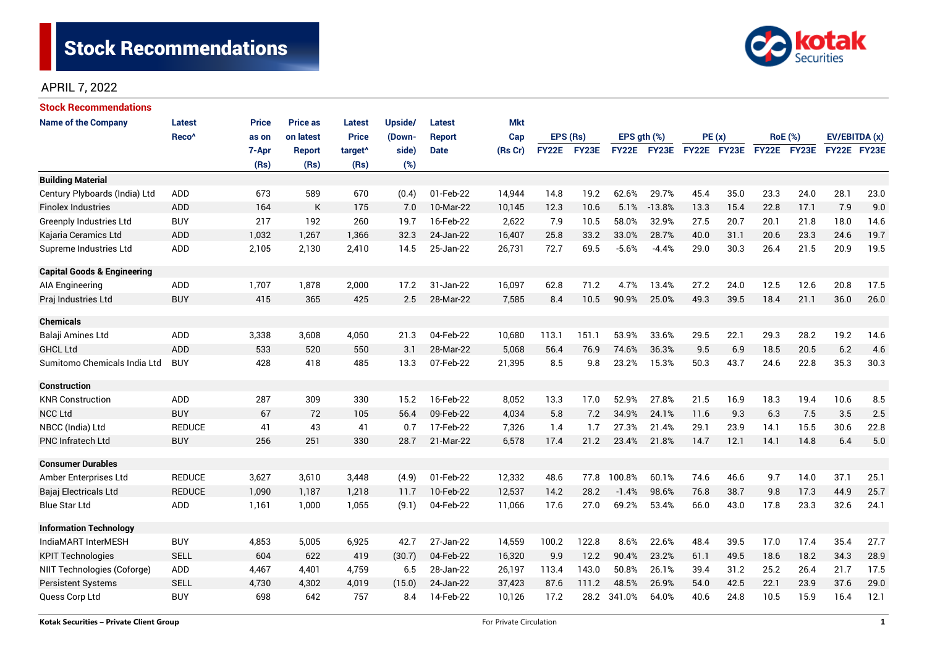

# APRIL 7, 2022

| Stock Recommendations                  |                   |              |                 |                     |         |               |            |              |       |             |             |             |      |                |      |               |      |
|----------------------------------------|-------------------|--------------|-----------------|---------------------|---------|---------------|------------|--------------|-------|-------------|-------------|-------------|------|----------------|------|---------------|------|
| <b>Name of the Company</b>             | <b>Latest</b>     | <b>Price</b> | <b>Price as</b> | <b>Latest</b>       | Upside/ | <b>Latest</b> | <b>Mkt</b> |              |       |             |             |             |      |                |      |               |      |
|                                        | Reco <sup>^</sup> | as on        | on latest       | <b>Price</b>        | (Down-  | <b>Report</b> | Cap        | EPS (Rs)     |       | EPS gth (%) |             | PE(x)       |      | <b>RoE</b> (%) |      | EV/EBITDA (x) |      |
|                                        |                   | 7-Apr        | <b>Report</b>   | target <sup>^</sup> | side)   | <b>Date</b>   | (Rs Cr)    | <b>FY22E</b> | FY23E |             | FY22E FY23E | FY22E FY23E |      | FY22E FY23E    |      | FY22E FY23E   |      |
|                                        |                   | (Rs)         | (Rs)            | (Rs)                | (%)     |               |            |              |       |             |             |             |      |                |      |               |      |
| <b>Building Material</b>               |                   |              |                 |                     |         |               |            |              |       |             |             |             |      |                |      |               |      |
| Century Plyboards (India) Ltd          | ADD               | 673          | 589             | 670                 | (0.4)   | 01-Feb-22     | 14,944     | 14.8         | 19.2  | 62.6%       | 29.7%       | 45.4        | 35.0 | 23.3           | 24.0 | 28.1          | 23.0 |
| <b>Finolex Industries</b>              | <b>ADD</b>        | 164          | К               | 175                 | 7.0     | 10-Mar-22     | 10,145     | 12.3         | 10.6  | 5.1%        | $-13.8%$    | 13.3        | 15.4 | 22.8           | 17.1 | 7.9           | 9.0  |
| <b>Greenply Industries Ltd</b>         | <b>BUY</b>        | 217          | 192             | 260                 | 19.7    | 16-Feb-22     | 2,622      | 7.9          | 10.5  | 58.0%       | 32.9%       | 27.5        | 20.7 | 20.1           | 21.8 | 18.0          | 14.6 |
| Kajaria Ceramics Ltd                   | <b>ADD</b>        | 1,032        | 1,267           | 1,366               | 32.3    | 24-Jan-22     | 16,407     | 25.8         | 33.2  | 33.0%       | 28.7%       | 40.0        | 31.1 | 20.6           | 23.3 | 24.6          | 19.7 |
| Supreme Industries Ltd                 | ADD               | 2,105        | 2,130           | 2,410               | 14.5    | 25-Jan-22     | 26,731     | 72.7         | 69.5  | $-5.6%$     | $-4.4%$     | 29.0        | 30.3 | 26.4           | 21.5 | 20.9          | 19.5 |
| <b>Capital Goods &amp; Engineering</b> |                   |              |                 |                     |         |               |            |              |       |             |             |             |      |                |      |               |      |
| AIA Engineering                        | ADD               | 1,707        | 1,878           | 2,000               | 17.2    | 31-Jan-22     | 16,097     | 62.8         | 71.2  | 4.7%        | 13.4%       | 27.2        | 24.0 | 12.5           | 12.6 | 20.8          | 17.5 |
| Praj Industries Ltd                    | <b>BUY</b>        | 415          | 365             | 425                 | 2.5     | 28-Mar-22     | 7,585      | 8.4          | 10.5  | 90.9%       | 25.0%       | 49.3        | 39.5 | 18.4           | 21.1 | 36.0          | 26.0 |
|                                        |                   |              |                 |                     |         |               |            |              |       |             |             |             |      |                |      |               |      |
| <b>Chemicals</b>                       |                   |              |                 |                     |         |               |            |              |       |             |             |             |      |                |      |               |      |
| Balaji Amines Ltd                      | <b>ADD</b>        | 3,338        | 3,608           | 4,050               | 21.3    | 04-Feb-22     | 10,680     | 113.1        | 151.1 | 53.9%       | 33.6%       | 29.5        | 22.1 | 29.3           | 28.2 | 19.2          | 14.6 |
| <b>GHCL Ltd</b>                        | <b>ADD</b>        | 533          | 520             | 550                 | 3.1     | 28-Mar-22     | 5,068      | 56.4         | 76.9  | 74.6%       | 36.3%       | 9.5         | 6.9  | 18.5           | 20.5 | 6.2           | 4.6  |
| Sumitomo Chemicals India Ltd           | <b>BUY</b>        | 428          | 418             | 485                 | 13.3    | 07-Feb-22     | 21,395     | 8.5          | 9.8   | 23.2%       | 15.3%       | 50.3        | 43.7 | 24.6           | 22.8 | 35.3          | 30.3 |
| <b>Construction</b>                    |                   |              |                 |                     |         |               |            |              |       |             |             |             |      |                |      |               |      |
| <b>KNR Construction</b>                | ADD               | 287          | 309             | 330                 | 15.2    | 16-Feb-22     | 8,052      | 13.3         | 17.0  | 52.9%       | 27.8%       | 21.5        | 16.9 | 18.3           | 19.4 | 10.6          | 8.5  |
| <b>NCC Ltd</b>                         | <b>BUY</b>        | 67           | 72              | 105                 | 56.4    | 09-Feb-22     | 4,034      | 5.8          | 7.2   | 34.9%       | 24.1%       | 11.6        | 9.3  | 6.3            | 7.5  | 3.5           | 2.5  |
| NBCC (India) Ltd                       | <b>REDUCE</b>     | 41           | 43              | 41                  | 0.7     | 17-Feb-22     | 7,326      | 1.4          | 1.7   | 27.3%       | 21.4%       | 29.1        | 23.9 | 14.1           | 15.5 | 30.6          | 22.8 |
| PNC Infratech Ltd                      | <b>BUY</b>        | 256          | 251             | 330                 | 28.7    | 21-Mar-22     | 6,578      | 17.4         | 21.2  | 23.4%       | 21.8%       | 14.7        | 12.1 | 14.1           | 14.8 | 6.4           | 5.0  |
| <b>Consumer Durables</b>               |                   |              |                 |                     |         |               |            |              |       |             |             |             |      |                |      |               |      |
| Amber Enterprises Ltd                  | <b>REDUCE</b>     | 3,627        | 3,610           | 3,448               | (4.9)   | 01-Feb-22     | 12,332     | 48.6         | 77.8  | 100.8%      | 60.1%       | 74.6        | 46.6 | 9.7            | 14.0 | 37.1          | 25.1 |
| Bajaj Electricals Ltd                  | <b>REDUCE</b>     | 1,090        | 1.187           | 1,218               | 11.7    | 10-Feb-22     | 12,537     | 14.2         | 28.2  | $-1.4%$     | 98.6%       | 76.8        | 38.7 | 9.8            | 17.3 | 44.9          | 25.7 |
| <b>Blue Star Ltd</b>                   | <b>ADD</b>        | 1,161        | 1,000           | 1,055               | (9.1)   | 04-Feb-22     | 11,066     | 17.6         | 27.0  | 69.2%       | 53.4%       | 66.0        | 43.0 | 17.8           | 23.3 | 32.6          | 24.1 |
| <b>Information Technology</b>          |                   |              |                 |                     |         |               |            |              |       |             |             |             |      |                |      |               |      |
| IndiaMART InterMESH                    | <b>BUY</b>        | 4,853        | 5,005           | 6,925               | 42.7    | 27-Jan-22     | 14,559     | 100.2        | 122.8 | 8.6%        | 22.6%       | 48.4        | 39.5 | 17.0           | 17.4 | 35.4          | 27.7 |
| <b>KPIT Technologies</b>               | <b>SELL</b>       | 604          | 622             | 419                 | (30.7)  | 04-Feb-22     | 16,320     | 9.9          | 12.2  | 90.4%       | 23.2%       | 61.1        | 49.5 | 18.6           | 18.2 | 34.3<br>28.9  |      |
| NIIT Technologies (Coforge)            | ADD               | 4,467        | 4,401           | 4,759               | 6.5     | 28-Jan-22     | 26,197     | 113.4        | 143.0 | 50.8%       | 26.1%       | 39.4        | 31.2 | 25.2           | 26.4 | 21.7          | 17.5 |
| <b>Persistent Systems</b>              | <b>SELL</b>       | 4,730        | 4,302           | 4,019               | (15.0)  | 24-Jan-22     | 37,423     | 87.6         | 111.2 | 48.5%       | 26.9%       | 54.0        | 42.5 | 22.1           | 23.9 | 37.6          | 29.0 |
| Quess Corp Ltd                         | <b>BUY</b>        | 698          | 642             | 757                 | 8.4     | 14-Feb-22     | 10,126     | 17.2         | 28.2  | 341.0%      | 64.0%       | 40.6        | 24.8 | 10.5           | 15.9 | 16.4          | 12.1 |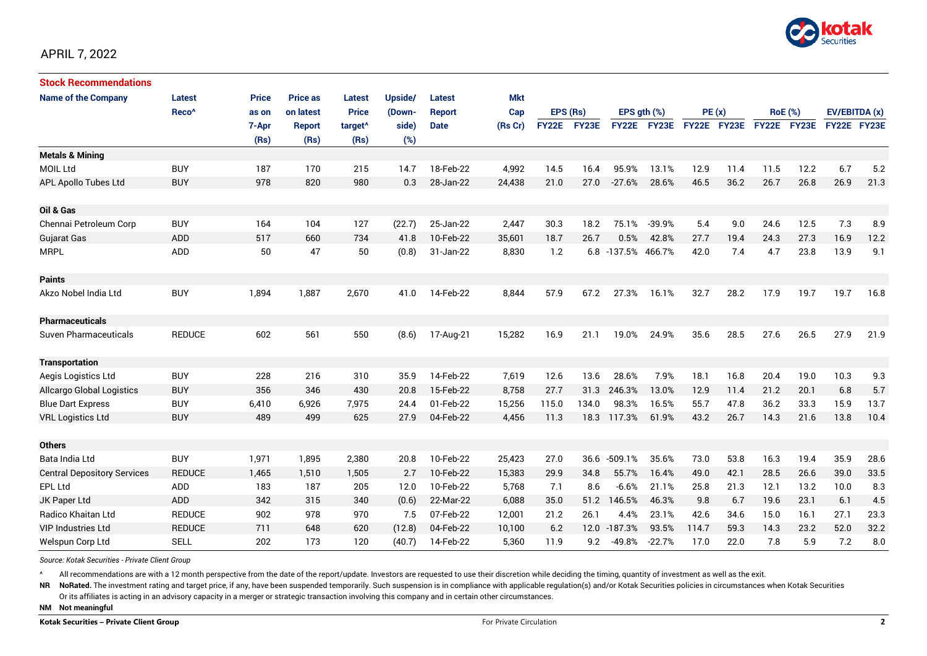

| <b>Stock Recommendations</b>       |                   |              |                 |                     |         |               |            |              |       |                    |              |             |      |                |             |               |      |
|------------------------------------|-------------------|--------------|-----------------|---------------------|---------|---------------|------------|--------------|-------|--------------------|--------------|-------------|------|----------------|-------------|---------------|------|
| <b>Name of the Company</b>         | Latest            | <b>Price</b> | <b>Price as</b> | Latest              | Upside/ | Latest        | <b>Mkt</b> |              |       |                    |              |             |      |                |             |               |      |
|                                    | Reco <sup>^</sup> | as on        | on latest       | <b>Price</b>        | (Down-  | <b>Report</b> | Cap        | EPS (Rs)     |       | EPS ath (%)        |              | PE(x)       |      | <b>RoE</b> (%) |             | EV/EBITDA (x) |      |
|                                    |                   | 7-Apr        | <b>Report</b>   | target <sup>^</sup> | side)   | <b>Date</b>   | (Rs Cr)    | <b>FY22E</b> | FY23E | <b>FY22E</b>       | <b>FY23E</b> | FY22E FY23E |      |                | FY22E FY23E | FY22E FY23E   |      |
|                                    |                   | (Rs)         | (Rs)            | (Rs)                | (%)     |               |            |              |       |                    |              |             |      |                |             |               |      |
| <b>Metals &amp; Mining</b>         |                   |              |                 |                     |         |               |            |              |       |                    |              |             |      |                |             |               |      |
| <b>MOIL Ltd</b>                    | <b>BUY</b>        | 187          | 170             | 215                 | 14.7    | 18-Feb-22     | 4,992      | 14.5         | 16.4  | 95.9%              | 13.1%        | 12.9        | 11.4 | 11.5           | 12.2        | 6.7           | 5.2  |
| APL Apollo Tubes Ltd               | <b>BUY</b>        | 978          | 820             | 980                 | 0.3     | 28-Jan-22     | 24,438     | 21.0         | 27.0  | $-27.6%$           | 28.6%        | 46.5        | 36.2 | 26.7           | 26.8        | 26.9          | 21.3 |
| Oil & Gas                          |                   |              |                 |                     |         |               |            |              |       |                    |              |             |      |                |             |               |      |
| Chennai Petroleum Corp             | <b>BUY</b>        | 164          | 104             | 127                 | (22.7)  | 25-Jan-22     | 2,447      | 30.3         | 18.2  | 75.1%              | $-39.9%$     | 5.4         | 9.0  | 24.6           | 12.5        | 7.3           | 8.9  |
| <b>Gujarat Gas</b>                 | <b>ADD</b>        | 517          | 660             | 734                 | 41.8    | 10-Feb-22     | 35.601     | 18.7         | 26.7  | 0.5%               | 42.8%        | 27.7        | 19.4 | 24.3           | 27.3        | 16.9          | 12.2 |
| <b>MRPL</b>                        | ADD               | 50           | 47              | 50                  | (0.8)   | 31-Jan-22     | 8,830      | 1.2          |       | 6.8 -137.5% 466.7% |              | 42.0        | 7.4  | 4.7            | 23.8        | 13.9          | 9.1  |
| <b>Paints</b>                      |                   |              |                 |                     |         |               |            |              |       |                    |              |             |      |                |             |               |      |
| Akzo Nobel India Ltd               | <b>BUY</b>        | 1,894        | 1,887           | 2,670               | 41.0    | 14-Feb-22     | 8,844      | 57.9         | 67.2  | 27.3%              | 16.1%        | 32.7        | 28.2 | 17.9           | 19.7        | 19.7          | 16.8 |
| <b>Pharmaceuticals</b>             |                   |              |                 |                     |         |               |            |              |       |                    |              |             |      |                |             |               |      |
| Suven Pharmaceuticals              | <b>REDUCE</b>     | 602          | 561             | 550                 | (8.6)   | 17-Aug-21     | 15,282     | 16.9         | 21.1  | 19.0%              | 24.9%        | 35.6        | 28.5 | 27.6           | 26.5        | 27.9          | 21.9 |
| <b>Transportation</b>              |                   |              |                 |                     |         |               |            |              |       |                    |              |             |      |                |             |               |      |
| Aegis Logistics Ltd                | <b>BUY</b>        | 228          | 216             | 310                 | 35.9    | 14-Feb-22     | 7,619      | 12.6         | 13.6  | 28.6%              | 7.9%         | 18.1        | 16.8 | 20.4           | 19.0        | 10.3          | 9.3  |
| <b>Allcargo Global Logistics</b>   | <b>BUY</b>        | 356          | 346             | 430                 | 20.8    | 15-Feb-22     | 8,758      | 27.7         | 31.3  | 246.3%             | 13.0%        | 12.9        | 11.4 | 21.2           | 20.1        | 6.8           | 5.7  |
| <b>Blue Dart Express</b>           | <b>BUY</b>        | 6,410        | 6,926           | 7,975               | 24.4    | 01-Feb-22     | 15,256     | 115.0        | 134.0 | 98.3%              | 16.5%        | 55.7        | 47.8 | 36.2           | 33.3        | 15.9          | 13.7 |
| <b>VRL Logistics Ltd</b>           | <b>BUY</b>        | 489          | 499             | 625                 | 27.9    | 04-Feb-22     | 4,456      | 11.3         | 18.3  | 117.3%             | 61.9%        | 43.2        | 26.7 | 14.3           | 21.6        | 13.8          | 10.4 |
| <b>Others</b>                      |                   |              |                 |                     |         |               |            |              |       |                    |              |             |      |                |             |               |      |
| Bata India Ltd                     | <b>BUY</b>        | 1,971        | 1,895           | 2,380               | 20.8    | 10-Feb-22     | 25,423     | 27.0         | 36.6  | $-509.1%$          | 35.6%        | 73.0        | 53.8 | 16.3           | 19.4        | 35.9          | 28.6 |
| <b>Central Depository Services</b> | <b>REDUCE</b>     | 1,465        | 1,510           | 1,505               | 2.7     | 10-Feb-22     | 15,383     | 29.9         | 34.8  | 55.7%              | 16.4%        | 49.0        | 42.1 | 28.5           | 26.6        | 39.0          | 33.5 |
| EPL Ltd                            | <b>ADD</b>        | 183          | 187             | 205                 | 12.0    | 10-Feb-22     | 5,768      | 7.1          | 8.6   | $-6.6%$            | 21.1%        | 25.8        | 21.3 | 12.1           | 13.2        | 10.0          | 8.3  |
| JK Paper Ltd                       | <b>ADD</b>        | 342          | 315             | 340                 | (0.6)   | 22-Mar-22     | 6,088      | 35.0         | 51.2  | 146.5%             | 46.3%        | 9.8         | 6.7  | 19.6           | 23.1        | 6.1           | 4.5  |
| Radico Khaitan Ltd                 | <b>REDUCE</b>     | 902          | 978             | 970                 | 7.5     | 07-Feb-22     | 12,001     | 21.2         | 26.1  | 4.4%               | 23.1%        | 42.6        | 34.6 | 15.0           | 16.1        | 27.1          | 23.3 |
| <b>VIP Industries Ltd</b>          | <b>REDUCE</b>     | 711          | 648             | 620                 | (12.8)  | 04-Feb-22     | 10,100     | 6.2          |       | 12.0 -187.3%       | 93.5%        | 114.7       | 59.3 | 14.3           | 23.2        | 52.0          | 32.2 |
| Welspun Corp Ltd                   | <b>SELL</b>       | 202          | 173             | 120                 | (40.7)  | 14-Feb-22     | 5,360      | 11.9         | 9.2   | $-49.8%$           | $-22.7%$     | 17.0        | 22.0 | 7.8            | 5.9         | 7.2           | 8.0  |

*Source: Kotak Securities - Private Client Group*

All recommendations are with a 12 month perspective from the date of the report/update. Investors are requested to use their discretion while deciding the timing, quantity of investment as well as the exit.

NR NoRated. The investment rating and target price, if any, have been suspended temporarily. Such suspension is in compliance with applicable regulation(s) and/or Kotak Securities policies in circumstances when Kotak Secur

Or its affiliates is acting in an advisory capacity in a merger or strategic transaction involving this company and in certain other circumstances.

**NM Not meaningful**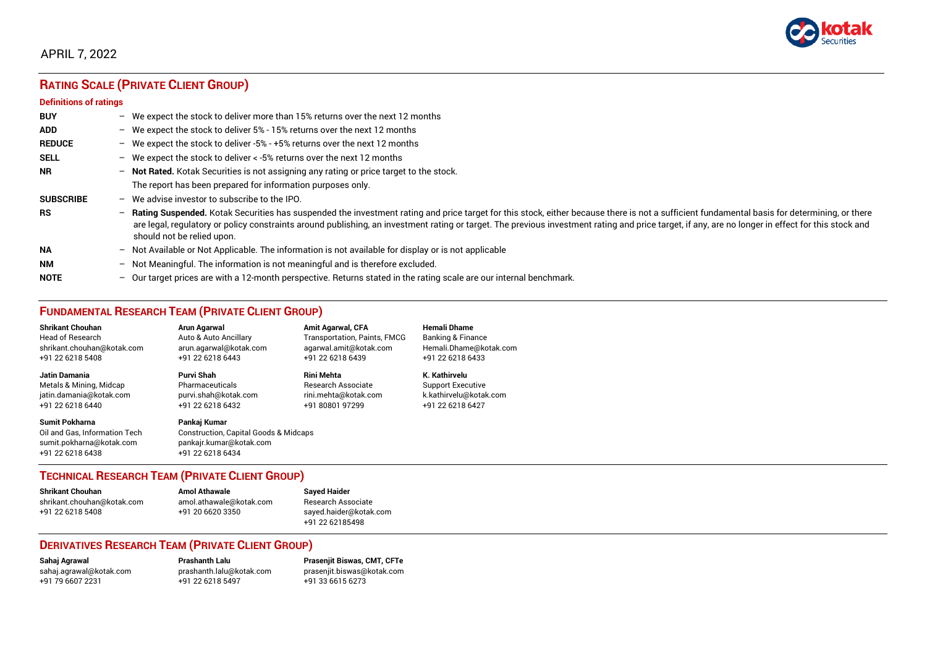

# APRIL 7, 2022

# **RATING SCALE (PRIVATE CLIENT GROUP)**

#### **Definitions of ratings**

| <b>BUY</b>       | $\overline{\phantom{0}}$ | We expect the stock to deliver more than 15% returns over the next 12 months                                                                                                                                                                                                                                                                                                                                                     |
|------------------|--------------------------|----------------------------------------------------------------------------------------------------------------------------------------------------------------------------------------------------------------------------------------------------------------------------------------------------------------------------------------------------------------------------------------------------------------------------------|
| <b>ADD</b>       |                          | - We expect the stock to deliver $5\%$ - 15% returns over the next 12 months                                                                                                                                                                                                                                                                                                                                                     |
| <b>REDUCE</b>    | $-$                      | We expect the stock to deliver -5% - +5% returns over the next 12 months                                                                                                                                                                                                                                                                                                                                                         |
| <b>SELL</b>      |                          | - We expect the stock to deliver $\lt$ -5% returns over the next 12 months                                                                                                                                                                                                                                                                                                                                                       |
| <b>NR</b>        |                          | - Not Rated. Kotak Securities is not assigning any rating or price target to the stock.                                                                                                                                                                                                                                                                                                                                          |
|                  |                          | The report has been prepared for information purposes only.                                                                                                                                                                                                                                                                                                                                                                      |
| <b>SUBSCRIBE</b> | $-$                      | We advise investor to subscribe to the IPO.                                                                                                                                                                                                                                                                                                                                                                                      |
| <b>RS</b>        | $\qquad \qquad -$        | Rating Suspended. Kotak Securities has suspended the investment rating and price target for this stock, either because there is not a sufficient fundamental basis for determining, or there<br>are legal, regulatory or policy constraints around publishing, an investment rating or target. The previous investment rating and price target, if any, are no longer in effect for this stock and<br>should not be relied upon. |
| <b>NA</b>        |                          | $-$ Not Available or Not Applicable. The information is not available for display or is not applicable                                                                                                                                                                                                                                                                                                                           |
| <b>NM</b>        |                          | - Not Meaningful. The information is not meaningful and is therefore excluded.                                                                                                                                                                                                                                                                                                                                                   |
| <b>NOTE</b>      | -                        | Our target prices are with a 12-month perspective. Returns stated in the rating scale are our internal benchmark.                                                                                                                                                                                                                                                                                                                |

# **FUNDAMENTAL RESEARCH TEAM (PRIVATE CLIENT GROUP)**

| <b>Shrikant Chouhan</b>                                                                                | Arun Agarwal                                                                                                    | <b>Amit Agarwal, CFA</b>     | <b>Hemali Dhame</b>      |
|--------------------------------------------------------------------------------------------------------|-----------------------------------------------------------------------------------------------------------------|------------------------------|--------------------------|
| <b>Head of Research</b>                                                                                | Auto & Auto Ancillary                                                                                           | Transportation, Paints, FMCG | Banking & Finance        |
| shrikant.chouhan@kotak.com                                                                             | arun.agarwal@kotak.com                                                                                          | agarwal.amit@kotak.com       | Hemali.Dhame@kotak.com   |
| +91 22 6218 5408                                                                                       | +91 22 6218 6443                                                                                                | +91 22 6218 6439             | +91 22 6218 6433         |
| <b>Jatin Damania</b>                                                                                   | <b>Purvi Shah</b>                                                                                               | <b>Rini Mehta</b>            | K. Kathirvelu            |
| Metals & Mining, Midcap                                                                                | Pharmaceuticals                                                                                                 | Research Associate           | <b>Support Executive</b> |
| jatin.damania@kotak.com                                                                                | purvi.shah@kotak.com                                                                                            | rini.mehta@kotak.com         | k.kathirvelu@kotak.com   |
| +91 22 6218 6440                                                                                       | +91 22 6218 6432                                                                                                | +91 80801 97299              | +91 22 6218 6427         |
| <b>Sumit Pokharna</b><br>Oil and Gas. Information Tech<br>sumit.pokharna@kotak.com<br>+91 22 6218 6438 | Pankaj Kumar<br><b>Construction, Capital Goods &amp; Midcaps</b><br>pankajr.kumar@kotak.com<br>+91 22 6218 6434 |                              |                          |

### **TECHNICAL RESEARCH TEAM (PRIVATE CLIENT GROUP)**

| <b>Shrikant Chouhan</b>    | <b>Amol Athawale</b>    |  |
|----------------------------|-------------------------|--|
| shrikant.chouhan@kotak.com | amol.athawale@kotak.com |  |
| +91 22 6218 5408           | +91 20 6620 3350        |  |
|                            |                         |  |

**Sayed Haider** Research Associate [sayed.haider@kotak.com](mailto:sayed.haider@kotak.com) +91 22 62185498

### **DERIVATIVES RESEARCH TEAM (PRIVATE CLIENT GROUP)**

+91 22 6218 5497 +91 33 6615 6273

**Sahaj Agrawal Prashanth Lalu Prasenjit Biswas, CMT, CFTe** [sahaj.agrawal@kotak.com](mailto:sahaj.agrawal@kotak.com) [prashanth.lalu@kotak.com](mailto:prashanth.lalu@kotak.com) [prasenjit.biswas@kotak.com](mailto:prasenjit.biswas@kotak.com)